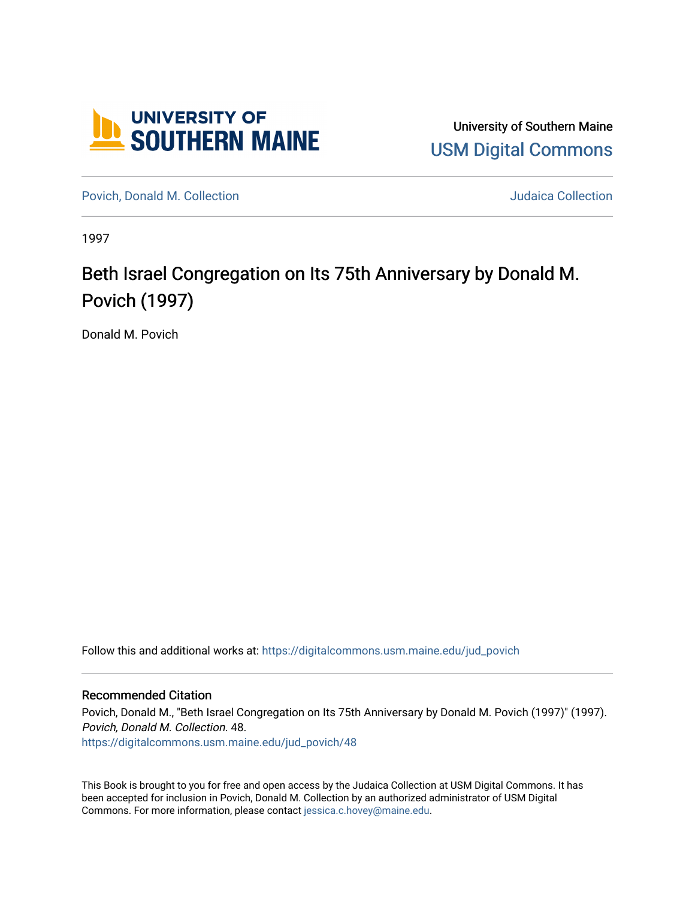

University of Southern Maine [USM Digital Commons](https://digitalcommons.usm.maine.edu/) 

[Povich, Donald M. Collection](https://digitalcommons.usm.maine.edu/jud_povich) **M. Automaker Collection** Judaica Collection

1997

## Beth Israel Congregation on Its 75th Anniversary by Donald M. Povich (1997)

Donald M. Povich

Follow this and additional works at: [https://digitalcommons.usm.maine.edu/jud\\_povich](https://digitalcommons.usm.maine.edu/jud_povich?utm_source=digitalcommons.usm.maine.edu%2Fjud_povich%2F48&utm_medium=PDF&utm_campaign=PDFCoverPages) 

## Recommended Citation

Povich, Donald M., "Beth Israel Congregation on Its 75th Anniversary by Donald M. Povich (1997)" (1997). Povich, Donald M. Collection. 48. [https://digitalcommons.usm.maine.edu/jud\\_povich/48](https://digitalcommons.usm.maine.edu/jud_povich/48?utm_source=digitalcommons.usm.maine.edu%2Fjud_povich%2F48&utm_medium=PDF&utm_campaign=PDFCoverPages)

This Book is brought to you for free and open access by the Judaica Collection at USM Digital Commons. It has been accepted for inclusion in Povich, Donald M. Collection by an authorized administrator of USM Digital Commons. For more information, please contact [jessica.c.hovey@maine.edu.](mailto:ian.fowler@maine.edu)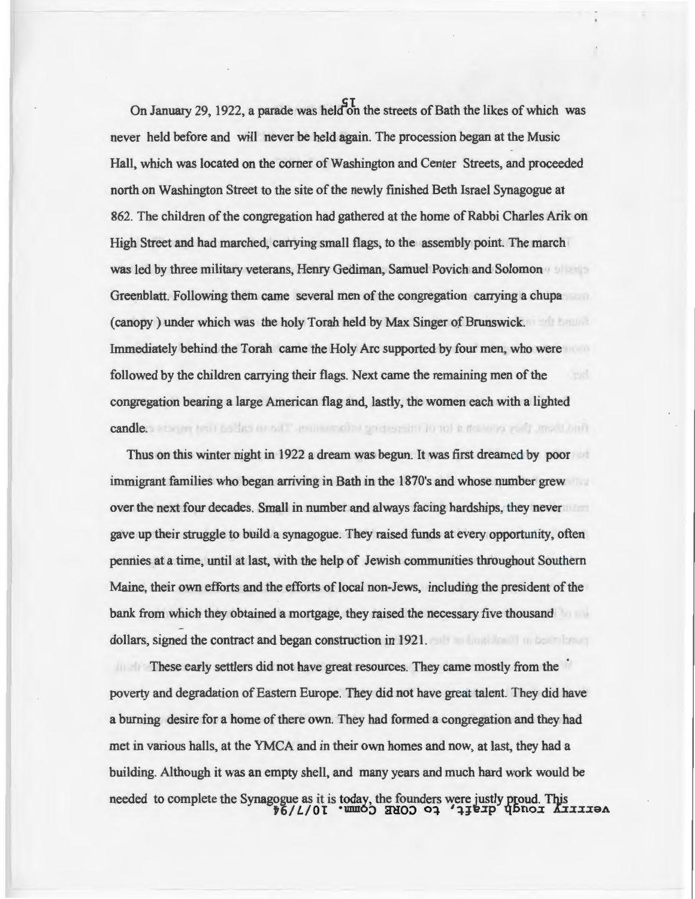On January 29, 1922, a parade was held on the streets of Bath the likes of which was never held before and will never be held again. The procession began at the Music Hall, which was located on the comer of Washington and Center Streets, and proceeded north on Washington Street to the site of the newly finished Beth Israel Synagogue at 862. The children of the congregation had gathered at the home of Rabbi Charles Arik on High Street and had marched, carrying small flags, to the assembly point. The march was led by three military veterans, Henry Gediman, Samuel Povich and Solomon Greenblatt. Following them came several men of the congregation carrying a chupa ( canopy ) under which was the holy Torah held by Max Singer of Brunswick. Immediately behind the Torah came the Holy Arc supported by four men, who were followed by the children carrying their flags. Next came the remaining men of the congregation bearing a large American flag and, lastly, the women each with a lighted candle. I severe test ballas areal." remove one or determine to not a not over real another

Thus on this winter night in 1922 a dream was begun. It was first dreamed by poor immigrant families who began arriving in Bath in the 1870's and whose number grew over the next four decades. Small in number and always facing hardships, they never gave up their struggle to build a synagogue. They raised funds at every opportunity, often pennies at a time, until at last, with the help of Jewish communities throughout Southern Maine, their own efforts and the efforts of local non-Jews, including the president of the bank from which they obtained a mortgage, they raised the necessary five thousand dollars, signed the contract and began construction in 1921.

These early settlers did not have great resources. They came mostly from the poverty and degradation of Eastern Europe. They did not have great talent. They did have a burning desire for a home of there own. They had formed a congregation and they had met in various halls, at the YMCA and in their own homes and now, at last, they had a building. Although it was an empty shell, and many years and much hard work would be needed to complete the Synagogue as it is today, the founders were justly proud. This *tG/L/OT*  $\cdot$ **WIDO 2HOO**  $\circ$ **4**  $\cdot$ **4H**exp **q** 5nox *kxxxx*